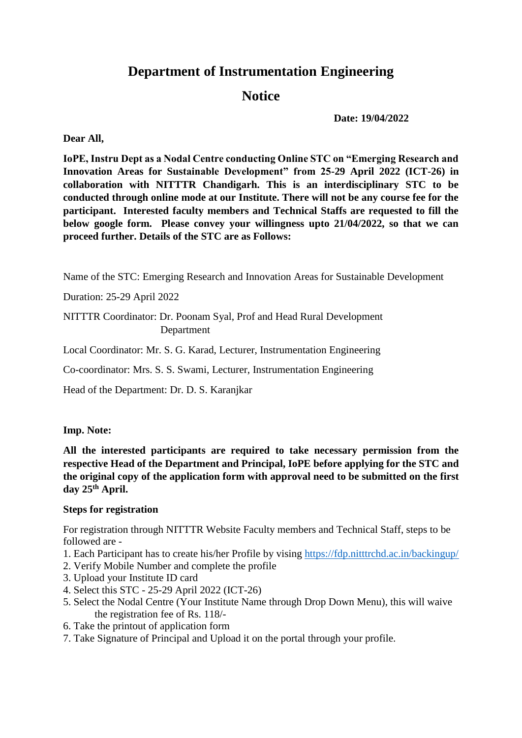# **Department of Instrumentation Engineering**

## **Notice**

**Date: 19/04/2022**

**Dear All,** 

**IoPE, Instru Dept as a Nodal Centre conducting Online STC on "Emerging Research and Innovation Areas for Sustainable Development" from 25-29 April 2022 (ICT-26) in collaboration with NITTTR Chandigarh. This is an interdisciplinary STC to be conducted through online mode at our Institute. There will not be any course fee for the participant. Interested faculty members and Technical Staffs are requested to fill the below google form. Please convey your willingness upto 21/04/2022, so that we can proceed further. Details of the STC are as Follows:**

Name of the STC: Emerging Research and Innovation Areas for Sustainable Development

Duration: 25-29 April 2022

NITTTR Coordinator: Dr. Poonam Syal, Prof and Head Rural Development Department

Local Coordinator: Mr. S. G. Karad, Lecturer, Instrumentation Engineering

Co-coordinator: Mrs. S. S. Swami, Lecturer, Instrumentation Engineering

Head of the Department: Dr. D. S. Karanjkar

### **Imp. Note:**

**All the interested participants are required to take necessary permission from the respective Head of the Department and Principal, IoPE before applying for the STC and the original copy of the application form with approval need to be submitted on the first day 25th April.** 

### **Steps for registration**

For registration through NITTTR Website Faculty members and Technical Staff, steps to be followed are -

- 1. Each Participant has to create his/her Profile by vising<https://fdp.nitttrchd.ac.in/backingup/>
- 2. Verify Mobile Number and complete the profile
- 3. Upload your Institute ID card
- 4. Select this STC 25-29 April 2022 (ICT-26)
- 5. Select the Nodal Centre (Your Institute Name through Drop Down Menu), this will waive the registration fee of Rs. 118/-
- 6. Take the printout of application form
- 7. Take Signature of Principal and Upload it on the portal through your profile.